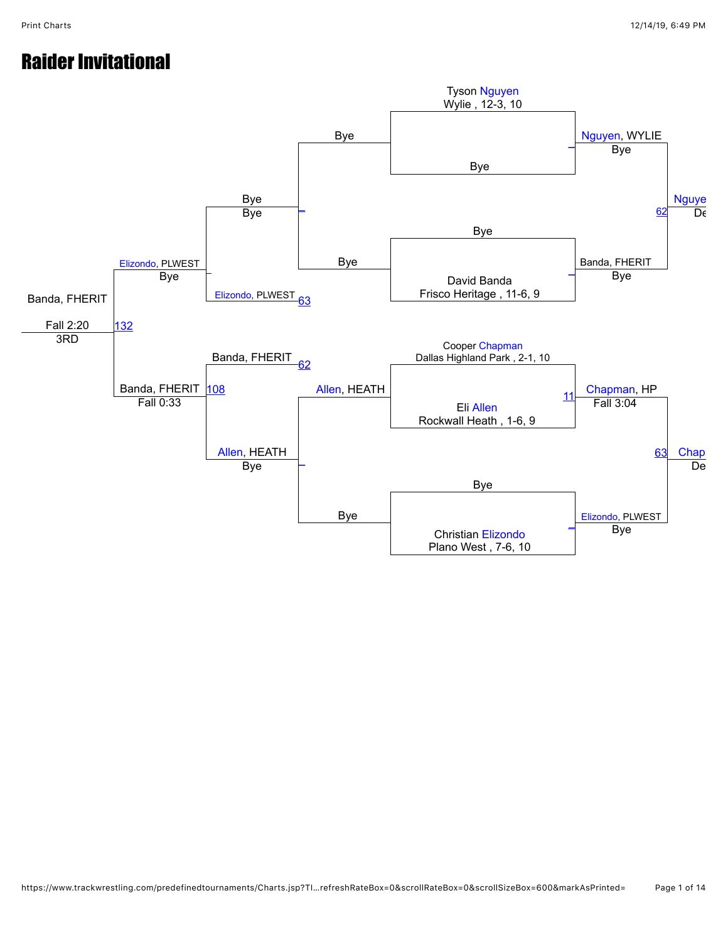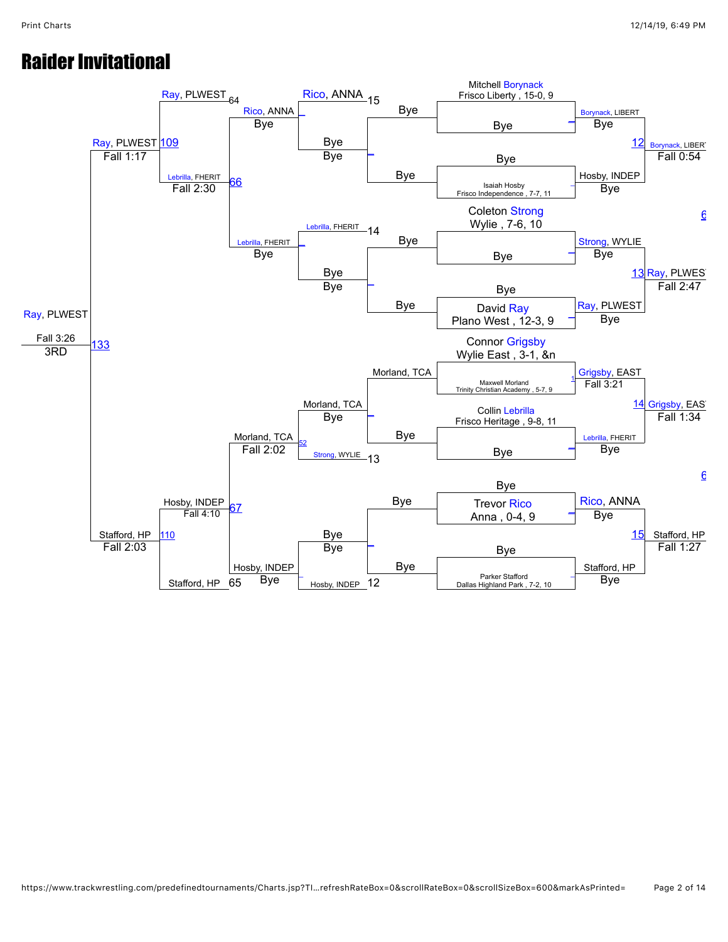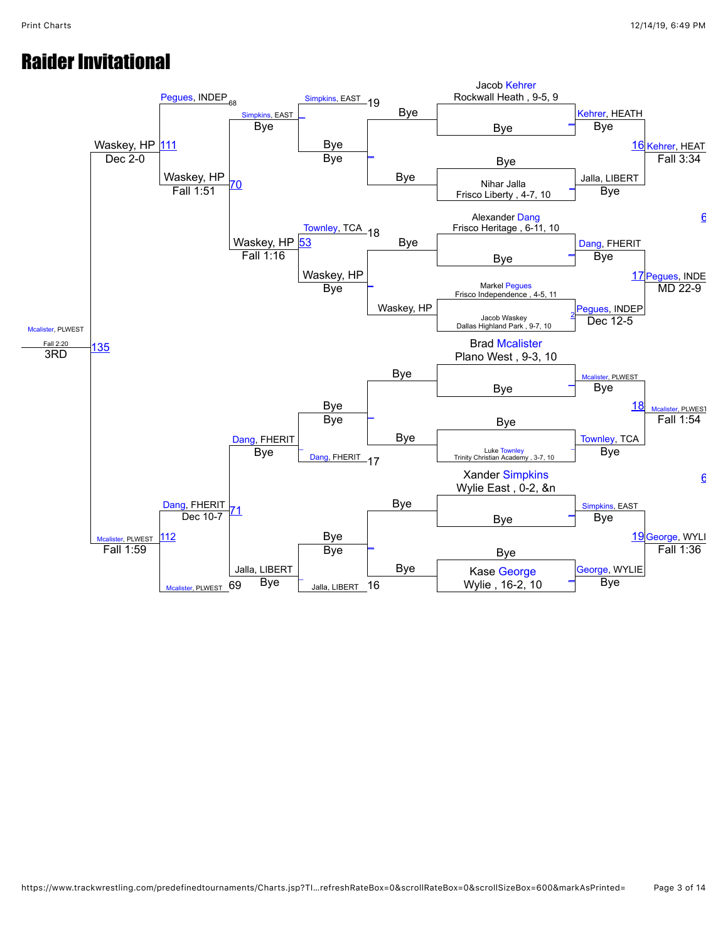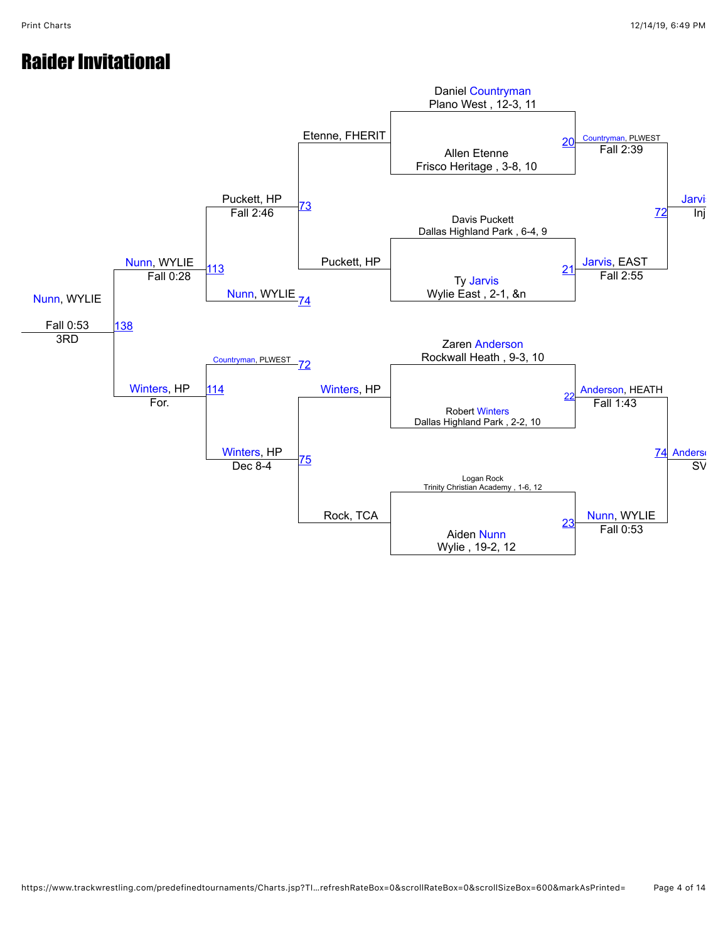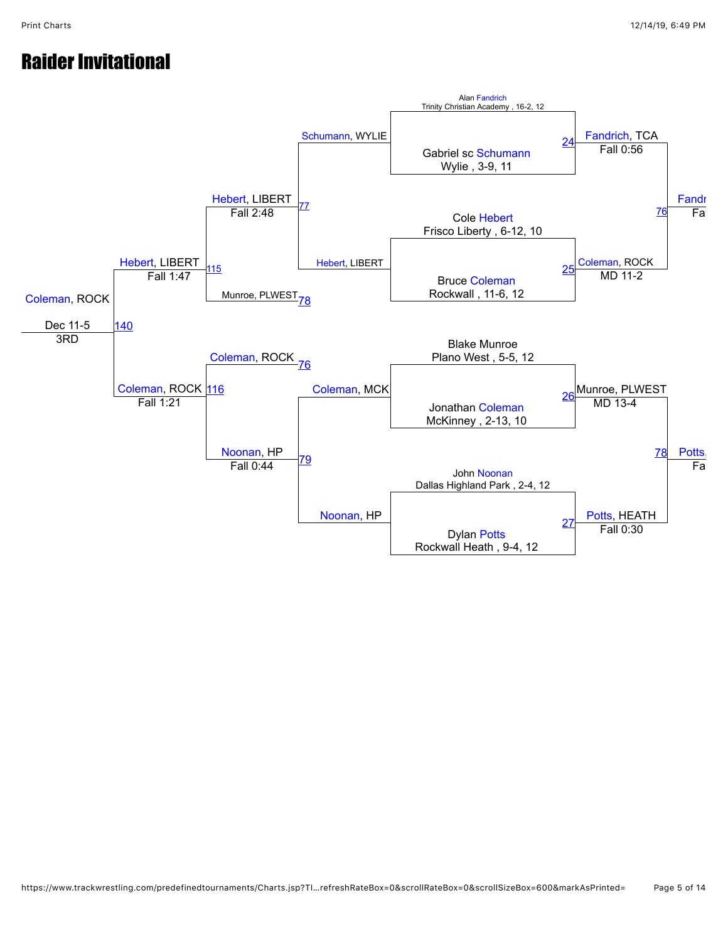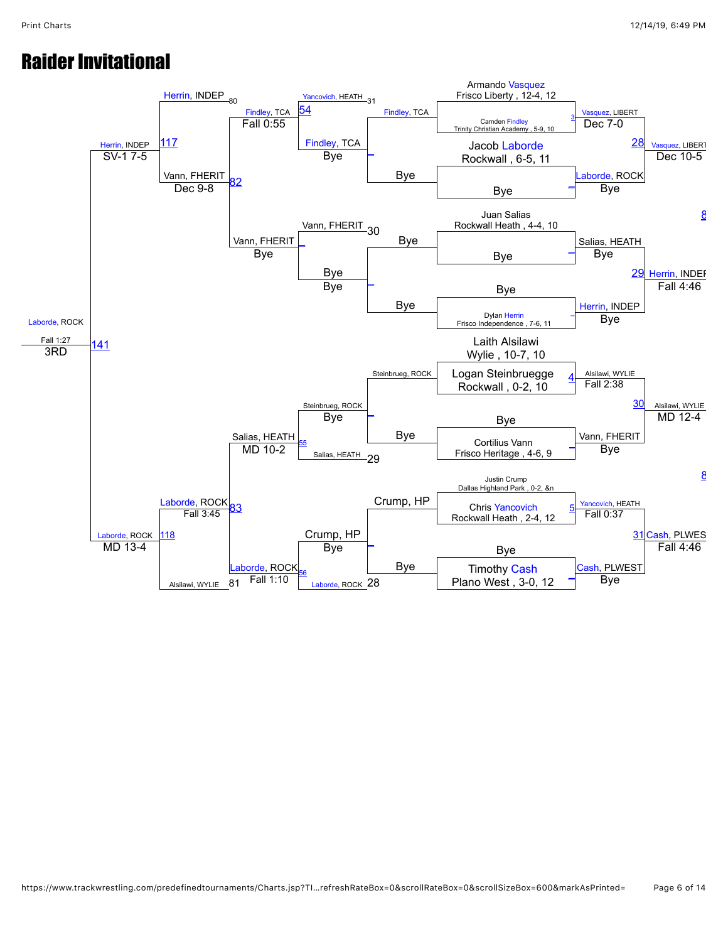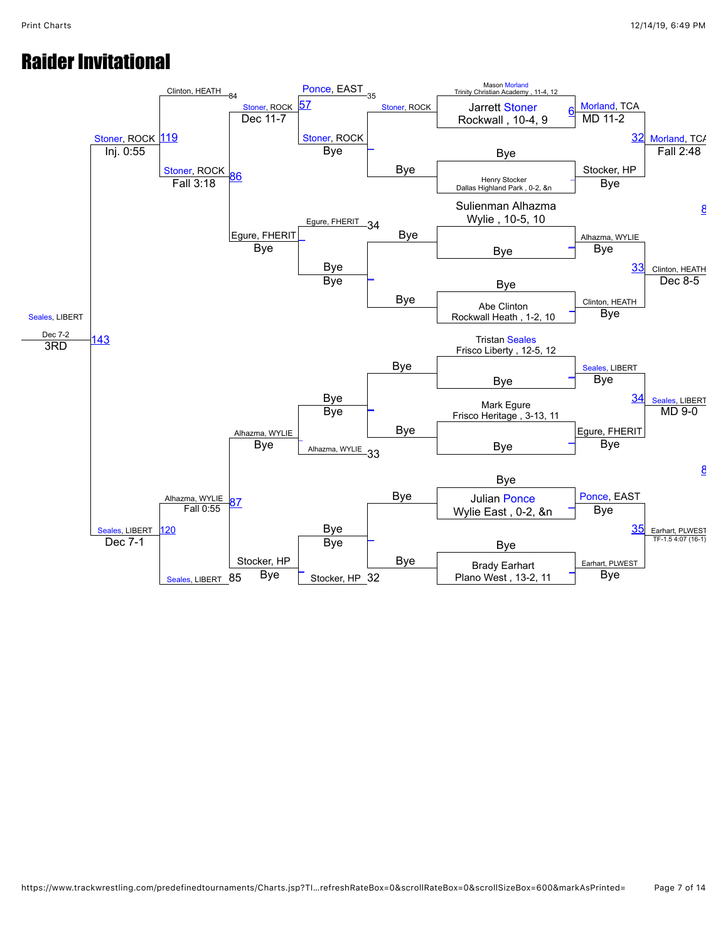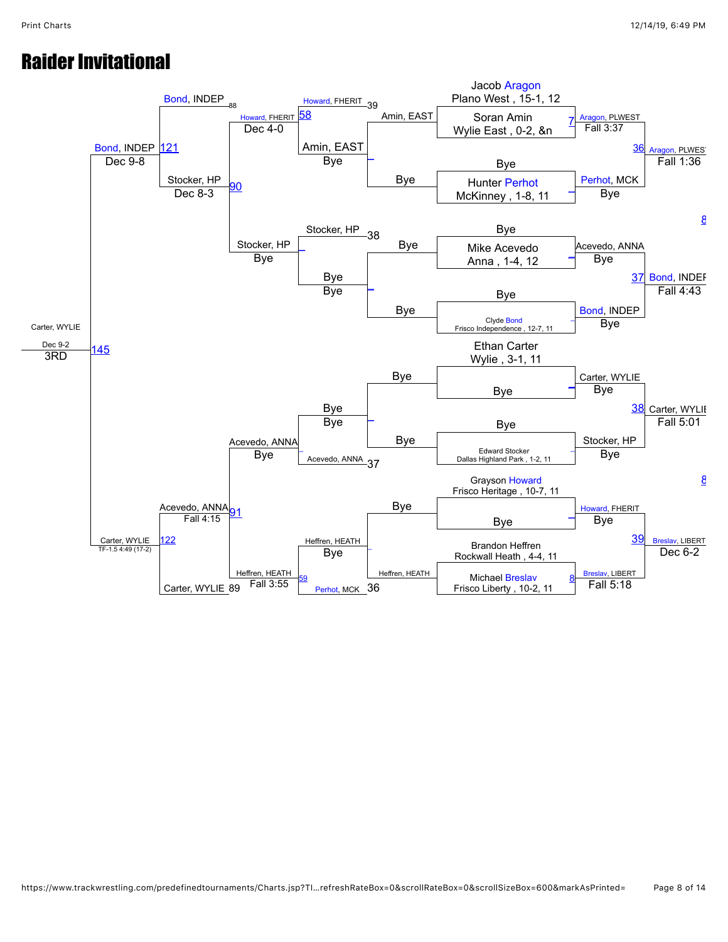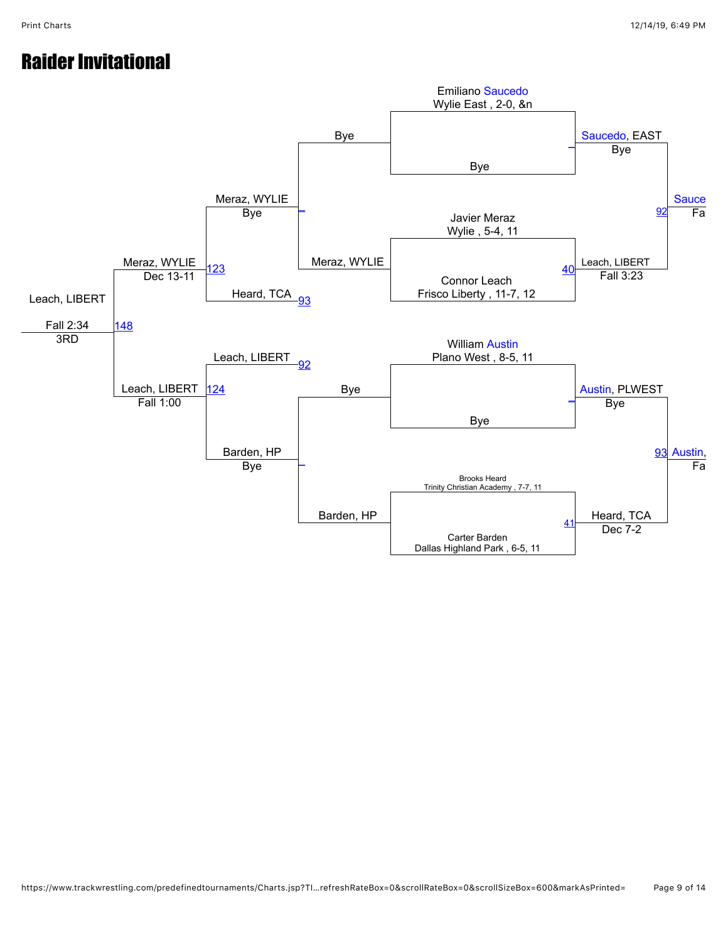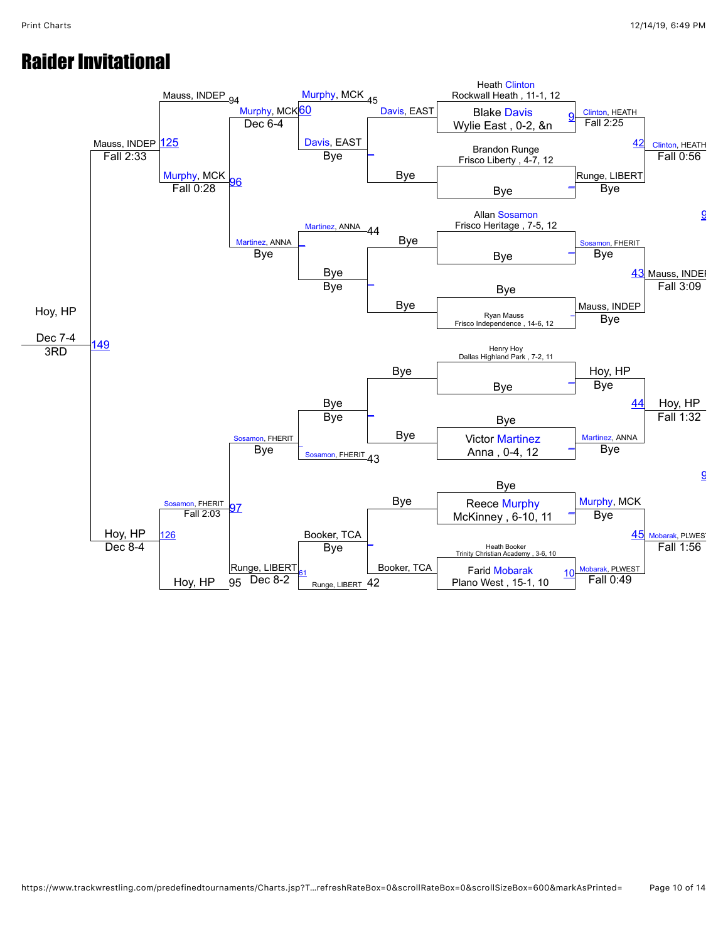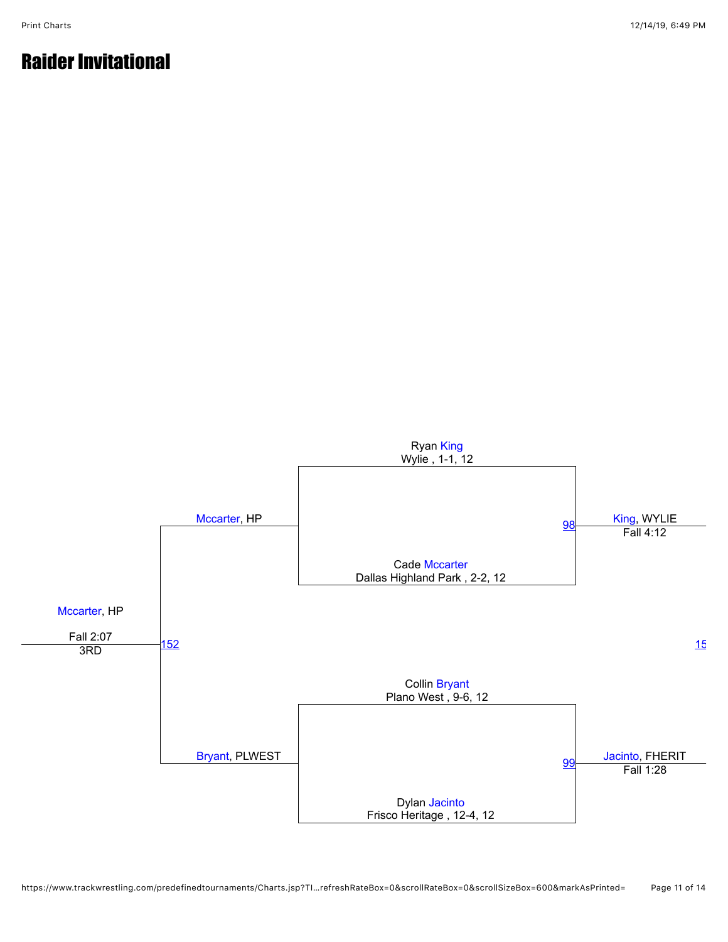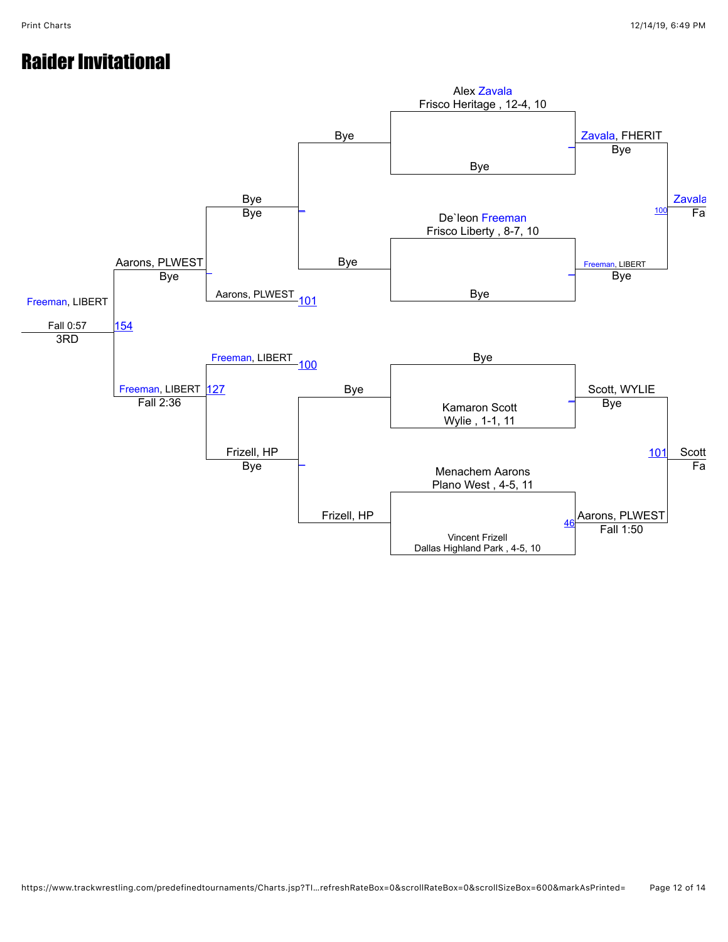![](_page_11_Figure_3.jpeg)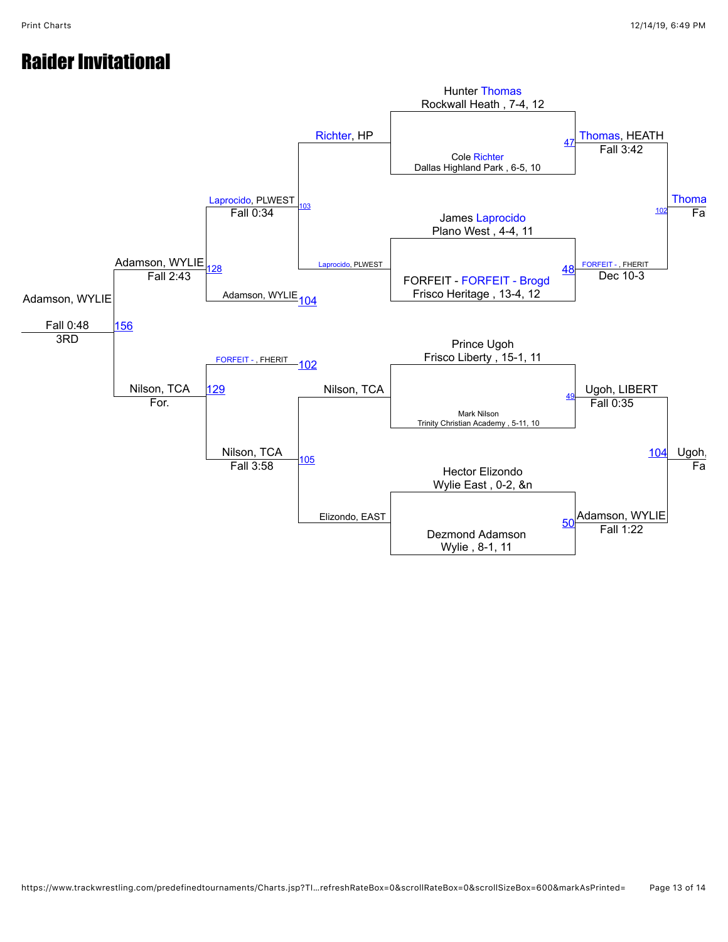![](_page_12_Figure_3.jpeg)